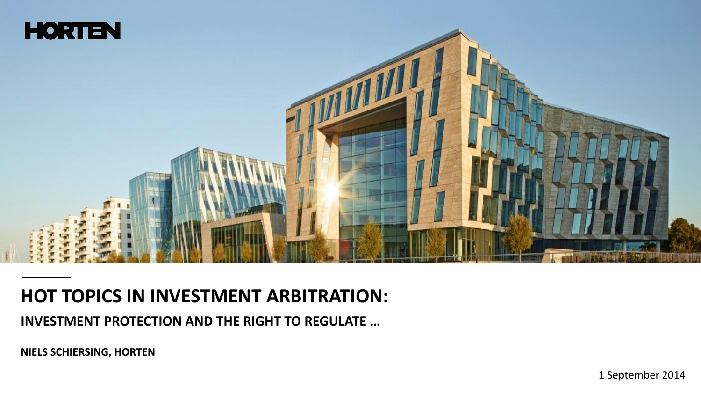

#### **HOT TOPICS IN INVESTMENT ARBITRATION:**

**INVESTMENT PROTECTION AND THE RIGHT TO REGULATE …** 

1 September 2014

**NIELS SCHIERSING, HORTEN**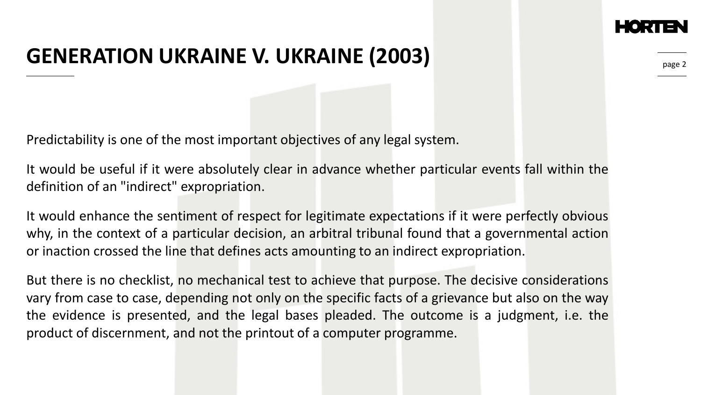### **GENERATION UKRAINE V. UKRAINE (2003)**

Predictability is one of the most important objectives of any legal system.

It would be useful if it were absolutely clear in advance whether particular events fall within the definition of an "indirect" expropriation.

It would enhance the sentiment of respect for legitimate expectations if it were perfectly obvious why, in the context of a particular decision, an arbitral tribunal found that a governmental action or inaction crossed the line that defines acts amounting to an indirect expropriation.

But there is no checklist, no mechanical test to achieve that purpose. The decisive considerations vary from case to case, depending not only on the specific facts of a grievance but also on the way the evidence is presented, and the legal bases pleaded. The outcome is a judgment, i.e. the product of discernment, and not the printout of a computer programme.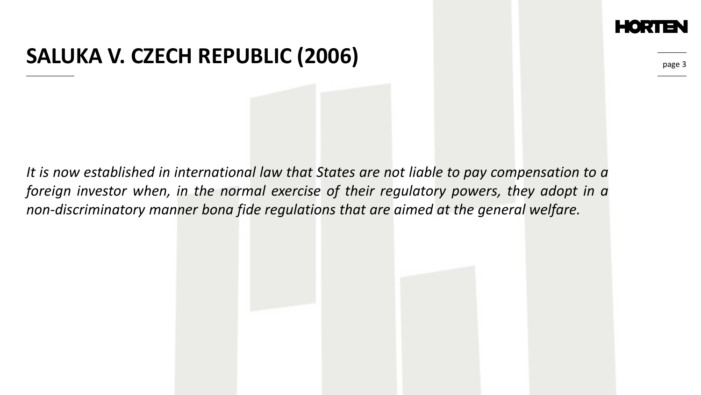#### **SALUKA V. CZECH REPUBLIC (2006)**

page 3

*It is now established in international law that States are not liable to pay compensation to a foreign investor when, in the normal exercise of their regulatory powers, they adopt in a non-discriminatory manner bona fide regulations that are aimed at the general welfare.*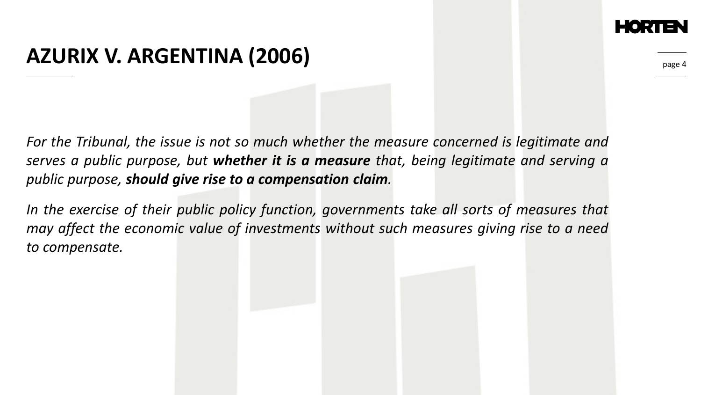### **AZURIX V. ARGENTINA (2006)**

page 4

*For the Tribunal, the issue is not so much whether the measure concerned is legitimate and serves a public purpose, but whether it is a measure that, being legitimate and serving a public purpose, should give rise to a compensation claim.*

*In the exercise of their public policy function, governments take all sorts of measures that may affect the economic value of investments without such measures giving rise to a need to compensate.*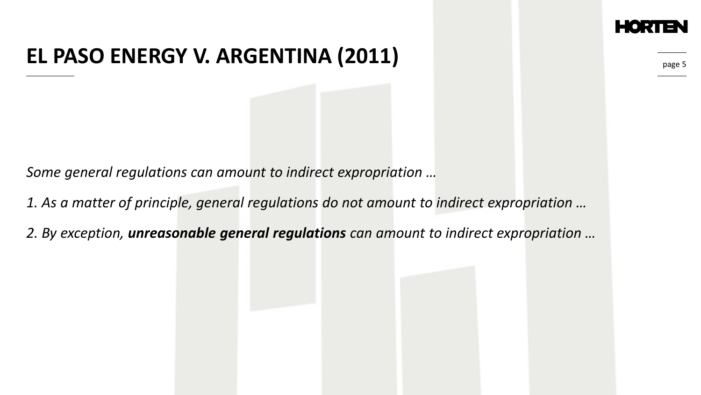## **EL PASO ENERGY V. ARGENTINA (2011)**

page 5

*Some general regulations can amount to indirect expropriation …* 

*1. As a matter of principle, general regulations do not amount to indirect expropriation …*

*2. By exception, unreasonable general regulations can amount to indirect expropriation …*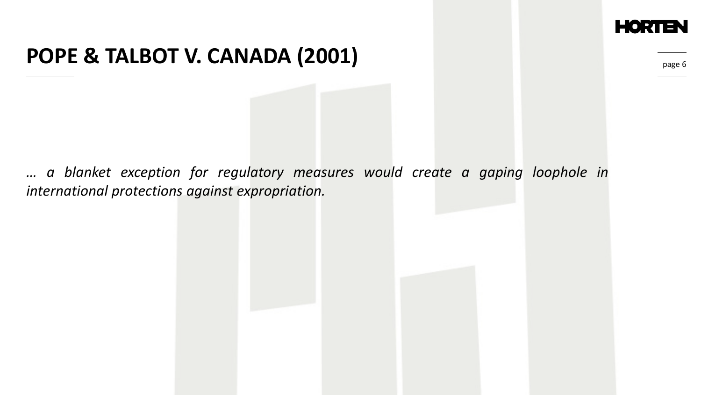

#### **POPE & TALBOT V. CANADA (2001)**

page 6

*… a blanket exception for regulatory measures would create a gaping loophole in international protections against expropriation.*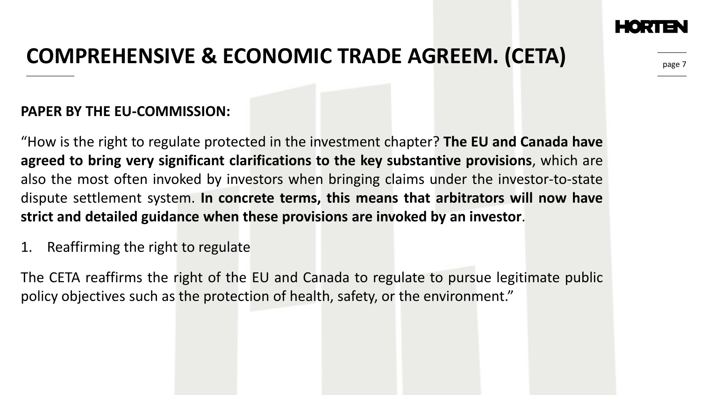

page :

# **COMPREHENSIVE & ECONOMIC TRADE AGREEM. (CETA)**

#### **PAPER BY THE EU-COMMISSION:**

"How is the right to regulate protected in the investment chapter? **The EU and Canada have agreed to bring very significant clarifications to the key substantive provisions**, which are also the most often invoked by investors when bringing claims under the investor-to-state dispute settlement system. **In concrete terms, this means that arbitrators will now have strict and detailed guidance when these provisions are invoked by an investor**.

1. Reaffirming the right to regulate

The CETA reaffirms the right of the EU and Canada to regulate to pursue legitimate public policy objectives such as the protection of health, safety, or the environment."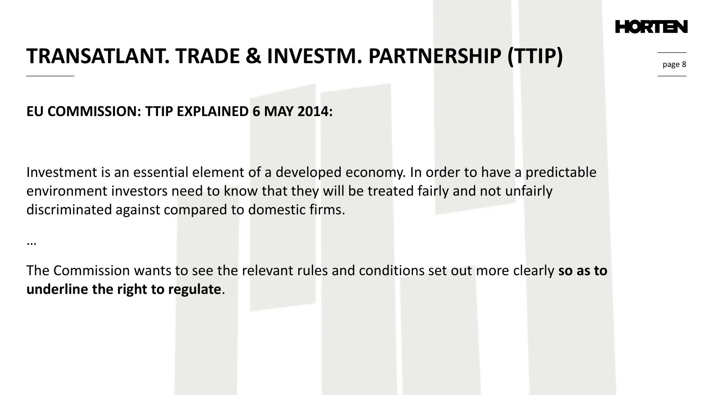

# **TRANSATLANT. TRADE & INVESTM. PARTNERSHIP (TTIP)**

#### **EU COMMISSION: TTIP EXPLAINED 6 MAY 2014:**

…

Investment is an essential element of a developed economy. In order to have a predictable environment investors need to know that they will be treated fairly and not unfairly discriminated against compared to domestic firms.

The Commission wants to see the relevant rules and conditions set out more clearly **so as to underline the right to regulate**.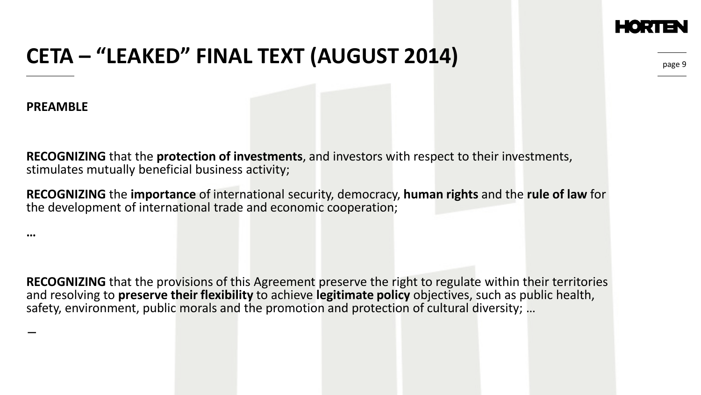## **CETA – "LEAKED" FINAL TEXT (AUGUST 2014)**

**PREAMBLE**

**…**

−

**RECOGNIZING** that the **protection of investments**, and investors with respect to their investments, stimulates mutually beneficial business activity;

**RECOGNIZING** the **importance** of international security, democracy, **human rights** and the **rule of law** for the development of international trade and economic cooperation;

**RECOGNIZING** that the provisions of this Agreement preserve the right to regulate within their territories and resolving to **preserve their flexibility** to achieve **legitimate policy** objectives, such as public health, safety, environment, public morals and the promotion and protection of cultural diversity; …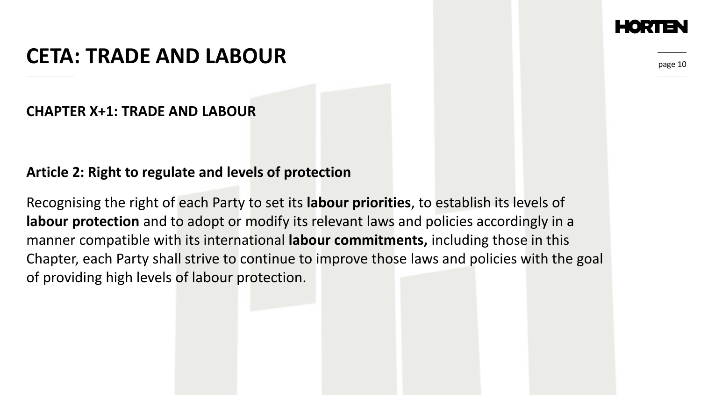#### **CETA: TRADE AND LABOUR**

page 10

#### **CHAPTER X+1: TRADE AND LABOUR**

#### **Article 2: Right to regulate and levels of protection**

Recognising the right of each Party to set its **labour priorities**, to establish its levels of **labour protection** and to adopt or modify its relevant laws and policies accordingly in a manner compatible with its international **labour commitments,** including those in this Chapter, each Party shall strive to continue to improve those laws and policies with the goal of providing high levels of labour protection.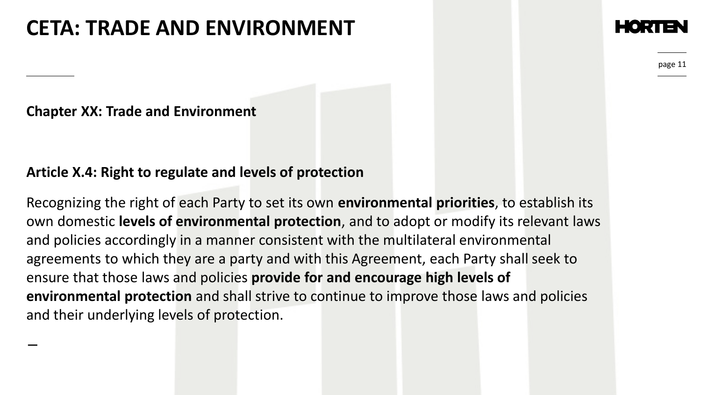## **CETA: TRADE AND ENVIRONMENT**

page 11

**Chapter XX: Trade and Environment**

−

#### **Article X.4: Right to regulate and levels of protection**

Recognizing the right of each Party to set its own **environmental priorities**, to establish its own domestic **levels of environmental protection**, and to adopt or modify its relevant laws and policies accordingly in a manner consistent with the multilateral environmental agreements to which they are a party and with this Agreement, each Party shall seek to ensure that those laws and policies **provide for and encourage high levels of environmental protection** and shall strive to continue to improve those laws and policies and their underlying levels of protection.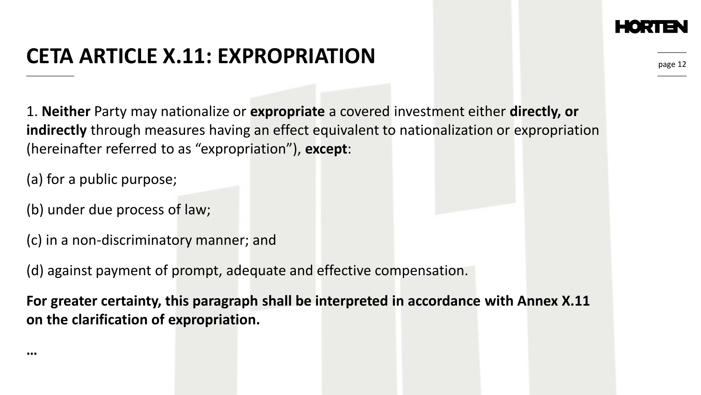## **CETA ARTICLE X.11: EXPROPRIATION**

1. **Neither** Party may nationalize or **expropriate** a covered investment either **directly, or indirectly** through measures having an effect equivalent to nationalization or expropriation (hereinafter referred to as "expropriation"), **except**:

(a) for a public purpose;

(b) under due process of law;

(c) in a non-discriminatory manner; and

(d) against payment of prompt, adequate and effective compensation.

**For greater certainty, this paragraph shall be interpreted in accordance with Annex X.11 on the clarification of expropriation.**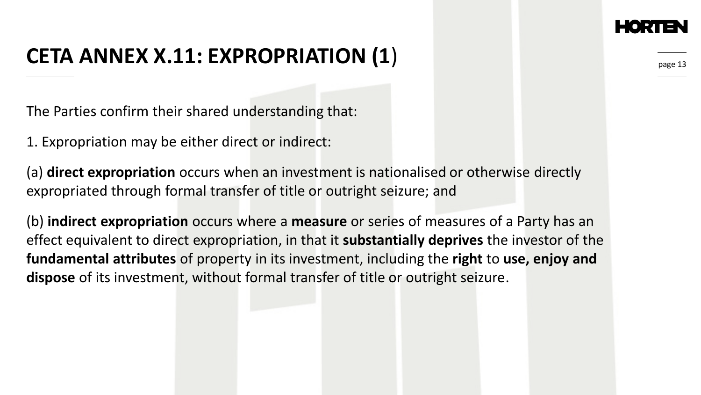## **CETA ANNEX X.11: EXPROPRIATION (1**)

The Parties confirm their shared understanding that:

1. Expropriation may be either direct or indirect:

(a) **direct expropriation** occurs when an investment is nationalised or otherwise directly expropriated through formal transfer of title or outright seizure; and

(b) **indirect expropriation** occurs where a **measure** or series of measures of a Party has an effect equivalent to direct expropriation, in that it **substantially deprives** the investor of the **fundamental attributes** of property in its investment, including the **right** to **use, enjoy and dispose** of its investment, without formal transfer of title or outright seizure.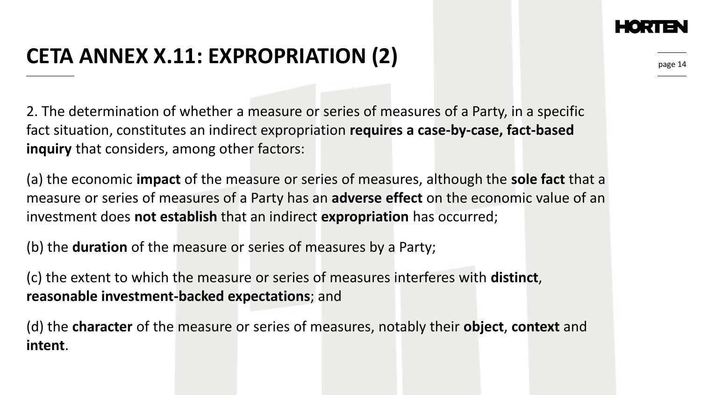## **CETA ANNEX X.11: EXPROPRIATION (2)**

2. The determination of whether a measure or series of measures of a Party, in a specific fact situation, constitutes an indirect expropriation **requires a case-by-case, fact-based inquiry** that considers, among other factors:

(a) the economic **impact** of the measure or series of measures, although the **sole fact** that a measure or series of measures of a Party has an **adverse effect** on the economic value of an investment does **not establish** that an indirect **expropriation** has occurred;

(b) the **duration** of the measure or series of measures by a Party;

(c) the extent to which the measure or series of measures interferes with **distinct**, **reasonable investment-backed expectations**; and

(d) the **character** of the measure or series of measures, notably their **object**, **context** and **intent**.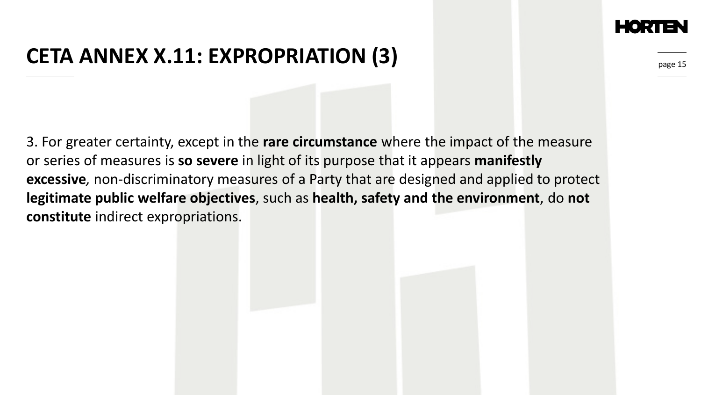## **CETA ANNEX X.11: EXPROPRIATION (3)**

3. For greater certainty, except in the **rare circumstance** where the impact of the measure or series of measures is **so severe** in light of its purpose that it appears **manifestly excessive***,* non-discriminatory measures of a Party that are designed and applied to protect **legitimate public welfare objectives**, such as **health, safety and the environment**, do **not constitute** indirect expropriations.

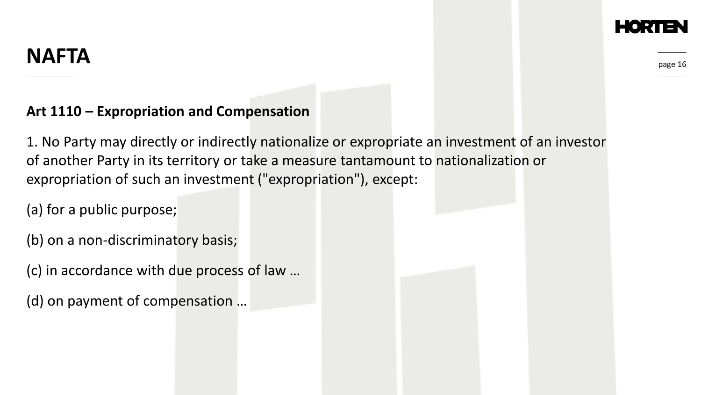#### **NAFTA**

page 16

#### **Art 1110 – Expropriation and Compensation**

1. No Party may directly or indirectly nationalize or expropriate an investment of an investor of another Party in its territory or take a measure tantamount to nationalization or expropriation of such an investment ("expropriation"), except:

(a) for a public purpose;

(b) on a non-discriminatory basis;

(c) in accordance with due process of law …

(d) on payment of compensation …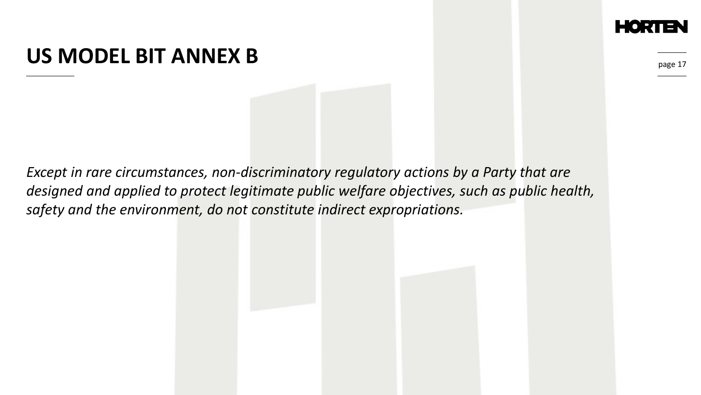#### **US MODEL BIT ANNEX B**

page 1

*Except in rare circumstances, non-discriminatory regulatory actions by a Party that are designed and applied to protect legitimate public welfare objectives, such as public health, safety and the environment, do not constitute indirect expropriations.*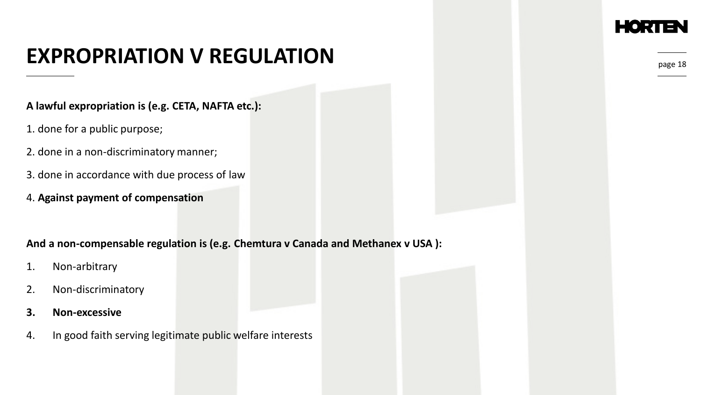# **EXPROPRIATION V REGULATION**

#### **A lawful expropriation is (e.g. CETA, NAFTA etc.):**

- 1. done for a public purpose;
- 2. done in a non-discriminatory manner;
- 3. done in accordance with due process of law
- 4. **Against payment of compensation**

#### **And a non-compensable regulation is (e.g. Chemtura v Canada and Methanex v USA ):**

- 1. Non-arbitrary
- 2. Non-discriminatory
- **3. Non-excessive**
- 4. In good faith serving legitimate public welfare interests

#### EORI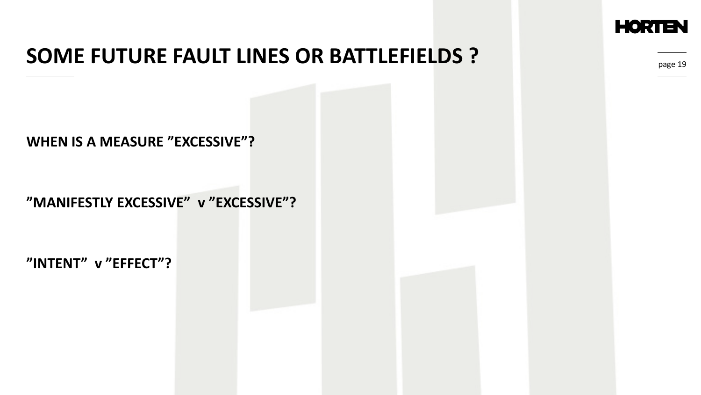

### **SOME FUTURE FAULT LINES OR BATTLEFIELDS ?**

**WHEN IS A MEASURE "EXCESSIVE"?**

**"MANIFESTLY EXCESSIVE" v "EXCESSIVE"?**

**"INTENT" v "EFFECT"?**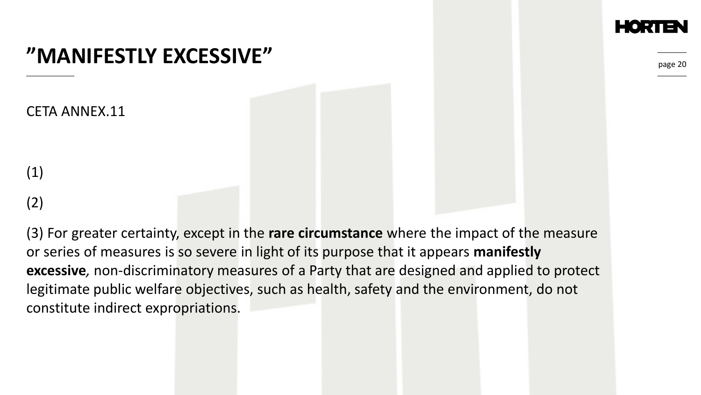page 20

### **"MANIFESTLY EXCESSIVE"**

CETA ANNEX.11

(1)

#### (2)

(3) For greater certainty, except in the **rare circumstance** where the impact of the measure or series of measures is so severe in light of its purpose that it appears **manifestly excessive***,* non-discriminatory measures of a Party that are designed and applied to protect legitimate public welfare objectives, such as health, safety and the environment, do not constitute indirect expropriations.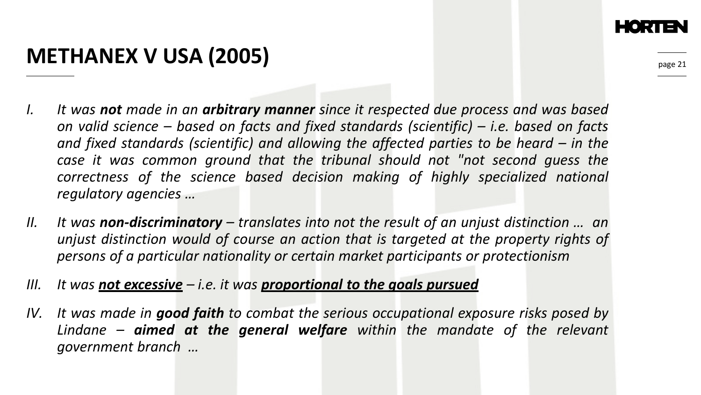# **METHANEX V USA (2005)**

- *I. It was not made in an arbitrary manner since it respected due process and was based on valid science – based on facts and fixed standards (scientific) – i.e. based on facts and fixed standards (scientific) and allowing the affected parties to be heard – in the case it was common ground that the tribunal should not "not second guess the correctness of the science based decision making of highly specialized national regulatory agencies …*
- *II. It was non-discriminatory – translates into not the result of an unjust distinction … an unjust distinction would of course an action that is targeted at the property rights of persons of a particular nationality or certain market participants or protectionism*
- *III. It was not excessive – i.e. it was proportional to the goals pursued*
- *IV. It was made in good faith to combat the serious occupational exposure risks posed by Lindane – aimed at the general welfare within the mandate of the relevant government branch …*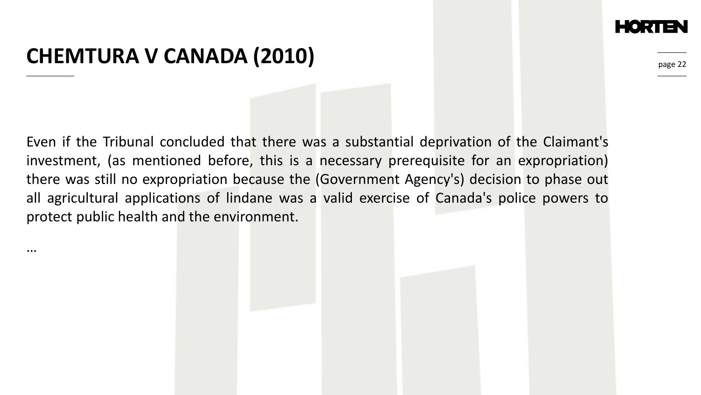#### **CHEMTURA V CANADA (2010)**

…

page 22

Even if the Tribunal concluded that there was a substantial deprivation of the Claimant's investment, (as mentioned before, this is a necessary prerequisite for an expropriation) there was still no expropriation because the (Government Agency's) decision to phase out all agricultural applications of lindane was a valid exercise of Canada's police powers to protect public health and the environment.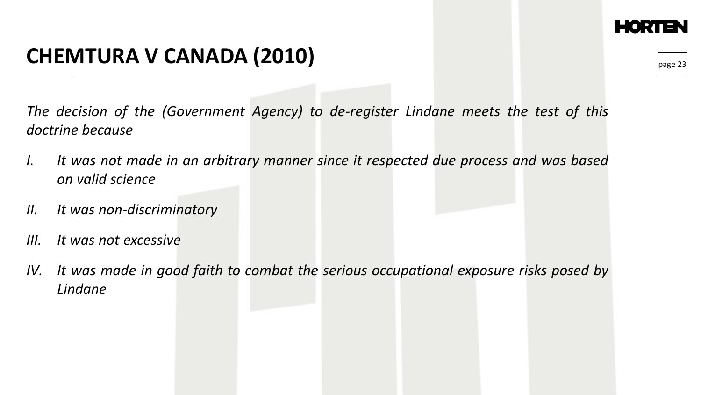## **CHEMTURA V CANADA (2010)**

*The decision of the (Government Agency) to de-register Lindane meets the test of this doctrine because*

- *I. It was not made in an arbitrary manner since it respected due process and was based on valid science*
- *II. It was non-discriminatory*
- *III. It was not excessive*
- *IV. It was made in good faith to combat the serious occupational exposure risks posed by Lindane*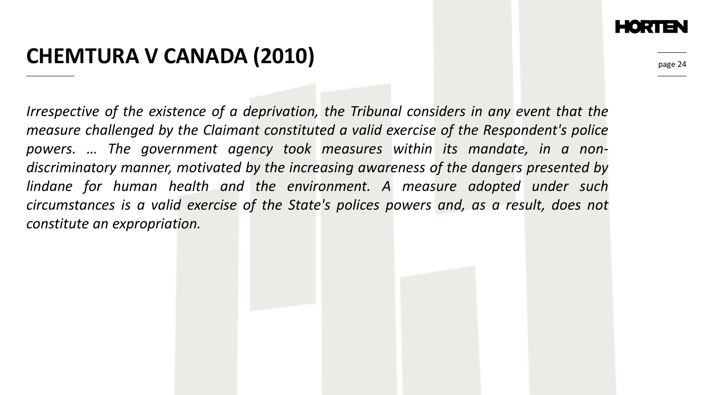## **CHEMTURA V CANADA (2010)**

*Irrespective of the existence of a deprivation, the Tribunal considers in any event that the measure challenged by the Claimant constituted a valid exercise of the Respondent's police powers. … The government agency took measures within its mandate, in a nondiscriminatory manner, motivated by the increasing awareness of the dangers presented by lindane for human health and the environment. A measure adopted under such circumstances is a valid exercise of the State's polices powers and, as a result, does not constitute an expropriation.*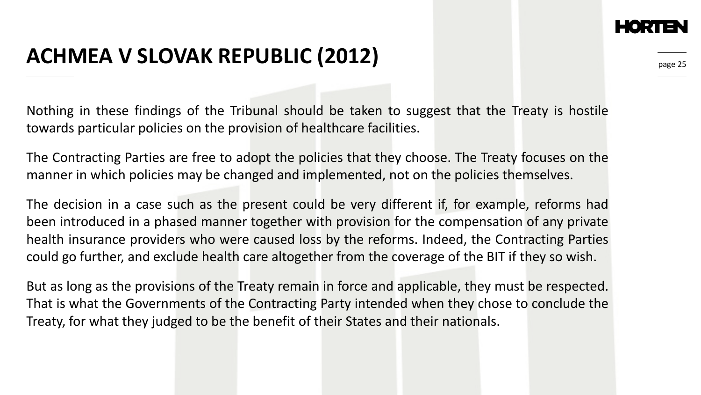## **ACHMEA V SLOVAK REPUBLIC (2012)**

Nothing in these findings of the Tribunal should be taken to suggest that the Treaty is hostile towards particular policies on the provision of healthcare facilities.

The Contracting Parties are free to adopt the policies that they choose. The Treaty focuses on the manner in which policies may be changed and implemented, not on the policies themselves.

The decision in a case such as the present could be very different if, for example, reforms had been introduced in a phased manner together with provision for the compensation of any private health insurance providers who were caused loss by the reforms. Indeed, the Contracting Parties could go further, and exclude health care altogether from the coverage of the BIT if they so wish.

But as long as the provisions of the Treaty remain in force and applicable, they must be respected. That is what the Governments of the Contracting Party intended when they chose to conclude the Treaty, for what they judged to be the benefit of their States and their nationals.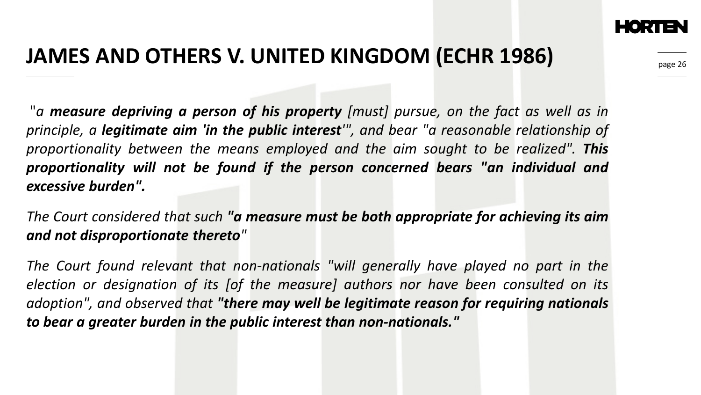

# **JAMES AND OTHERS V. UNITED KINGDOM (ECHR 1986)**

"*a measure depriving a person of his property [must] pursue, on the fact as well as in principle, a legitimate aim 'in the public interest'", and bear "a reasonable relationship of proportionality between the means employed and the aim sought to be realized". This proportionality will not be found if the person concerned bears "an individual and excessive burden".*

*The Court considered that such "a measure must be both appropriate for achieving its aim and not disproportionate thereto"*

*The Court found relevant that non-nationals "will generally have played no part in the election or designation of its [of the measure] authors nor have been consulted on its adoption", and observed that "there may well be legitimate reason for requiring nationals to bear a greater burden in the public interest than non-nationals."*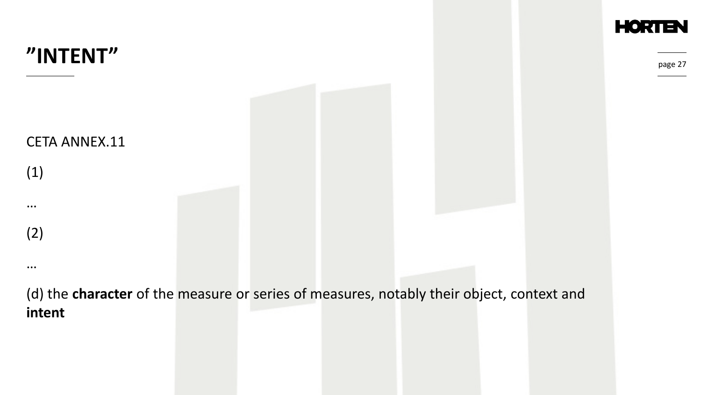

**HORTEN** 

page 27

(d) the **character** of the measure or series of measures, notably their object, context and **intent**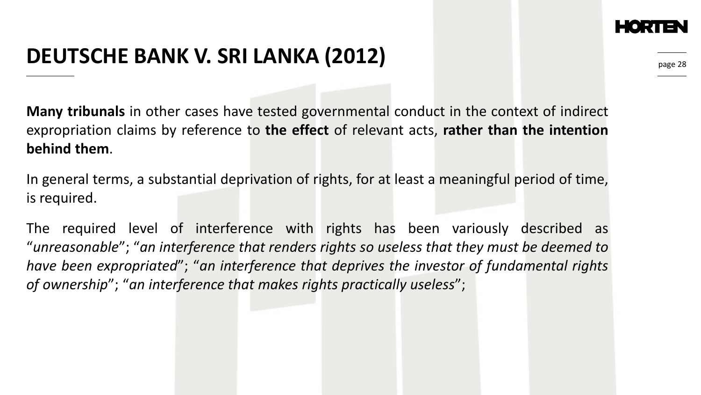## **DEUTSCHE BANK V. SRI LANKA (2012)**

**Many tribunals** in other cases have tested governmental conduct in the context of indirect expropriation claims by reference to **the effect** of relevant acts, **rather than the intention behind them**.

In general terms, a substantial deprivation of rights, for at least a meaningful period of time, is required.

The required level of interference with rights has been variously described as "*unreasonable*"; "*an interference that renders rights so useless that they must be deemed to have been expropriated*"; "*an interference that deprives the investor of fundamental rights of ownership*"; "*an interference that makes rights practically useless*";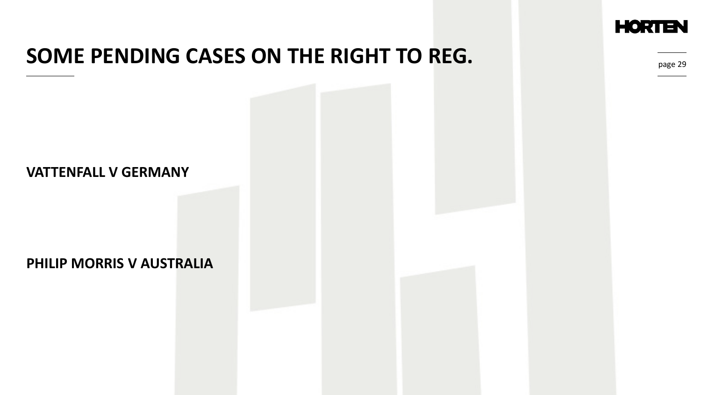

### **SOME PENDING CASES ON THE RIGHT TO REG.**

#### page 29

#### **VATTENFALL V GERMANY**

#### **PHILIP MORRIS V AUSTRALIA**